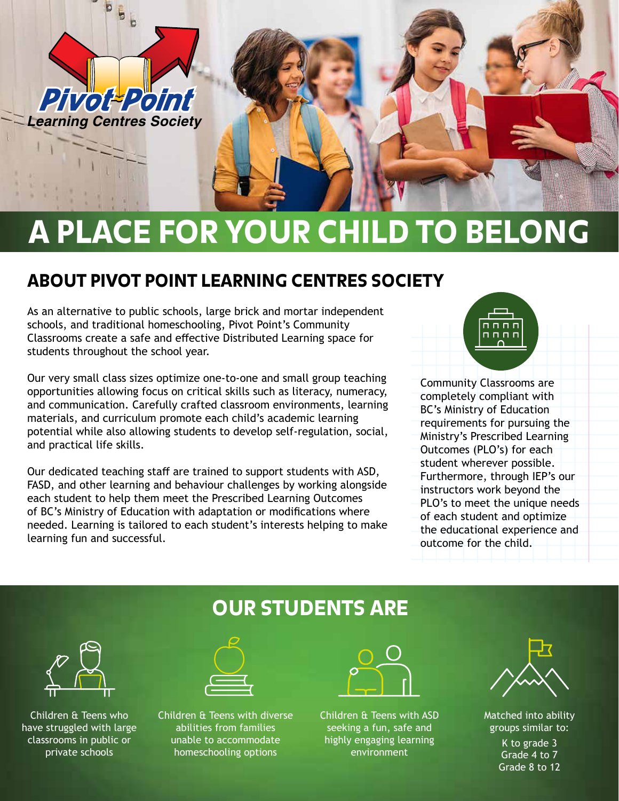

# A PLACE FOR YOUR CHILD TO BELONG

## ABOUT PIVOT POINT LEARNING CENTRES SOCIETY

As an alternative to public schools, large brick and mortar independent schools, and traditional homeschooling, Pivot Point's Community Classrooms create a safe and effective Distributed Learning space for students throughout the school year.

Our very small class sizes optimize one-to-one and small group teaching opportunities allowing focus on critical skills such as literacy, numeracy, and communication. Carefully crafted classroom environments, learning materials, and curriculum promote each child's academic learning potential while also allowing students to develop self-regulation, social, and practical life skills.

Our dedicated teaching staff are trained to support students with ASD, FASD, and other learning and behaviour challenges by working alongside each student to help them meet the Prescribed Learning Outcomes of BC's Ministry of Education with adaptation or modifications where needed. Learning is tailored to each student's interests helping to make learning fun and successful.

## n n n n  $n n n n$

Community Classrooms are completely compliant with BC's Ministry of Education requirements for pursuing the Ministry's Prescribed Learning Outcomes (PLO's) for each student wherever possible. Furthermore, through IEP's our instructors work beyond the PLO's to meet the unique needs of each student and optimize the educational experience and outcome for the child.



Children & Teens who have struggled with large classrooms in public or private schools





Children & Teens with diverse abilities from families unable to accommodate homeschooling options



Children & Teens with ASD seeking a fun, safe and highly engaging learning environment



Matched into ability groups similar to: K to grade 3 Grade 4 to 7 Grade 8 to 12